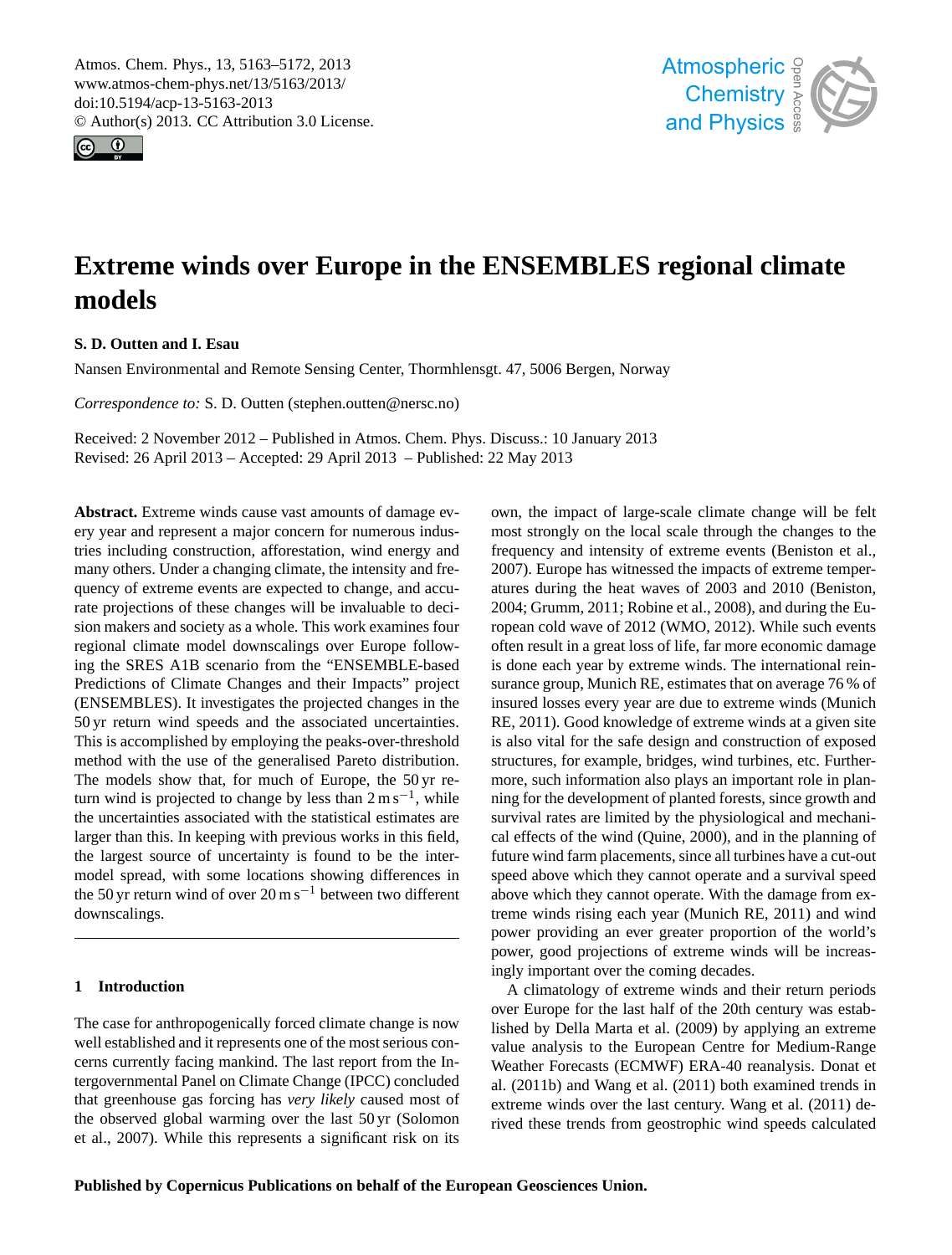<span id="page-0-0"></span>Atmos. Chem. Phys., 13, 5163–5172, 2013 www.atmos-chem-phys.net/13/5163/2013/ doi:10.5194/acp-13-5163-2013 © Author(s) 2013. CC Attribution 3.0 License.





# **Extreme winds over Europe in the ENSEMBLES regional climate models**

# **S. D. Outten and I. Esau**

Nansen Environmental and Remote Sensing Center, Thormhlensgt. 47, 5006 Bergen, Norway

*Correspondence to:* S. D. Outten (stephen.outten@nersc.no)

Received: 2 November 2012 – Published in Atmos. Chem. Phys. Discuss.: 10 January 2013 Revised: 26 April 2013 – Accepted: 29 April 2013 – Published: 22 May 2013

**Abstract.** Extreme winds cause vast amounts of damage every year and represent a major concern for numerous industries including construction, afforestation, wind energy and many others. Under a changing climate, the intensity and frequency of extreme events are expected to change, and accurate projections of these changes will be invaluable to decision makers and society as a whole. This work examines four regional climate model downscalings over Europe following the SRES A1B scenario from the "ENSEMBLE-based Predictions of Climate Changes and their Impacts" project (ENSEMBLES). It investigates the projected changes in the 50 yr return wind speeds and the associated uncertainties. This is accomplished by employing the peaks-over-threshold method with the use of the generalised Pareto distribution. The models show that, for much of Europe, the 50 yr return wind is projected to change by less than  $2 \text{ m s}^{-1}$ , while the uncertainties associated with the statistical estimates are larger than this. In keeping with previous works in this field, the largest source of uncertainty is found to be the intermodel spread, with some locations showing differences in the 50 yr return wind of over 20 m s<sup> $-1$ </sup> between two different downscalings.

## **1 Introduction**

The case for anthropogenically forced climate change is now well established and it represents one of the most serious concerns currently facing mankind. The last report from the Intergovernmental Panel on Climate Change (IPCC) concluded that greenhouse gas forcing has *very likely* caused most of the observed global warming over the last 50 yr (Solomon et al., 2007). While this represents a significant risk on its

Earth System System Controller Changes with the changes to the most strongly on the local scale through the changes to the frequency and intensity of extreme events (Beniston et al., e<br>ha<br>re zoo-, Gramm, 2011, Roome et al., 2006), and during the European cold wave of 2012 (WMO, 2012). While such events often result in a great loss of life, far more economic damage is done each year by extreme winds. The international reinsurance group, Munich RE, estimates that on average 76 % of<br>incured losses suggestions are due to autrema winds (Munich e<br>oi<br>er structures, for example, bridges, wind turbines, etc. Furthermore, such information also plays an important role in planon<br>, e<br>t r<br>ce future wind farm placements, since all turbines have a cut-out speed above which they cannot operate and a survival speed<br>share which they cannot against. With the days as from an treme winds rising each year (Munich RE, 2011) and wind ha<br>ui<br>11 own, the impact of large-scale climate change will be felt 2007). Europe has witnessed the impacts of extreme temperatures during the heat waves of 2003 and 2010 (Beniston, 2004; Grumm, 2011; Robine et al., 2008), and during the Euinsured losses every year are due to extreme winds (Munich RE, 2011). Good knowledge of extreme winds at a given site is also vital for the safe design and construction of exposed ning for the development of planted forests, since growth and survival rates are limited by the physiological and mechanical effects of the wind (Quine, 2000), and in the planning of above which they cannot operate. With the damage from expower providing an ever greater proportion of the world's power, good projections of extreme winds will be increasingly important over the coming decades.

A climatology of extreme winds and their return periods  $\frac{1}{\pi}$ et extreme winds over the last century. Wang et al. (2011) desi<br>ne<br>al.<br>d: over Europe for the last half of the 20th century was established by Della Marta et al. (2009) by applying an extreme value analysis to the European Centre for Medium-Range Weather Forecasts (ECMWF) ERA-40 reanalysis. Donat et al. (2011b) and Wang et al. (2011) both examined trends in rived these trends from geostrophic wind speeds calculated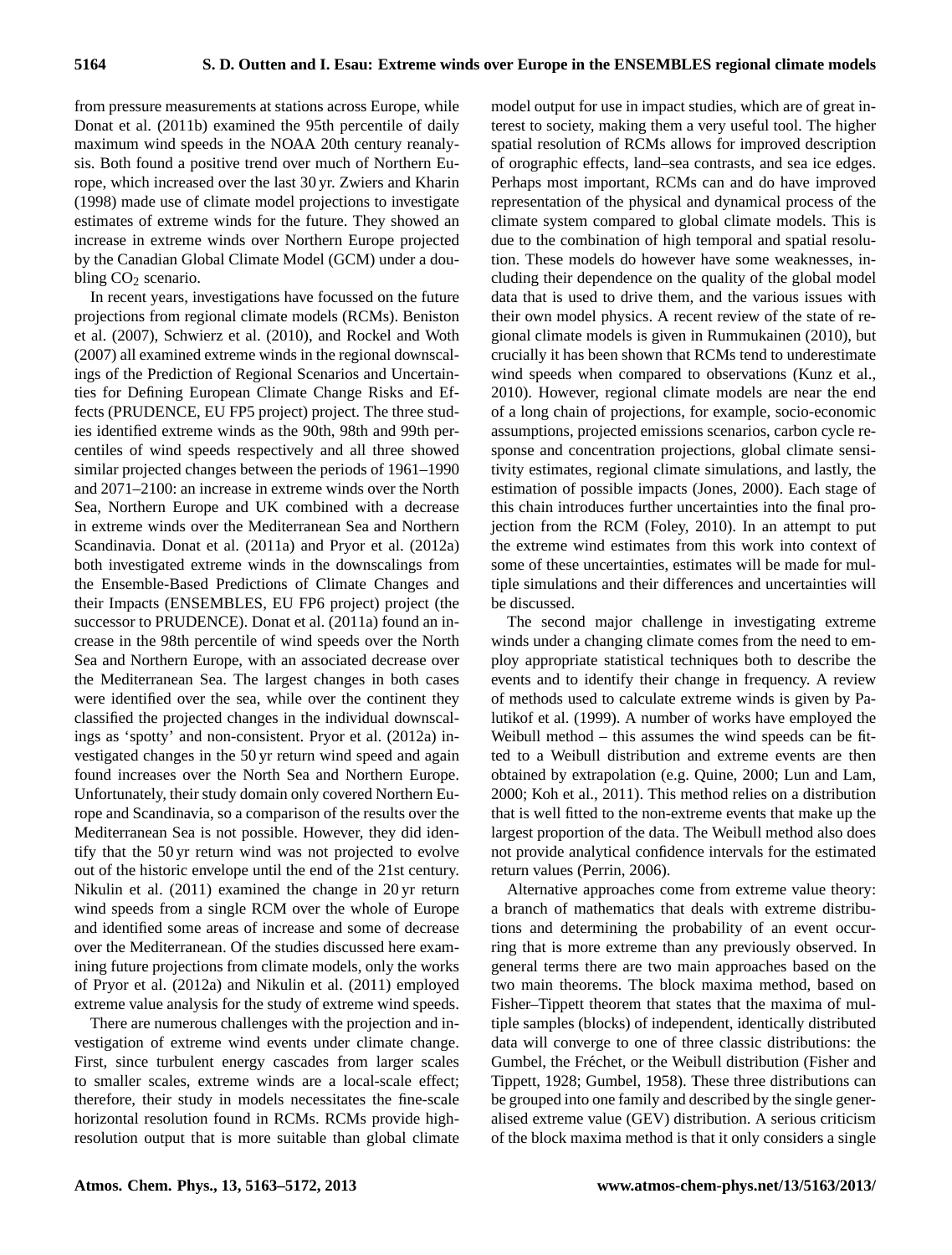from pressure measurements at stations across Europe, while Donat et al. (2011b) examined the 95th percentile of daily maximum wind speeds in the NOAA 20th century reanalysis. Both found a positive trend over much of Northern Europe, which increased over the last 30 yr. Zwiers and Kharin (1998) made use of climate model projections to investigate estimates of extreme winds for the future. They showed an increase in extreme winds over Northern Europe projected by the Canadian Global Climate Model (GCM) under a doubling  $CO<sub>2</sub>$  scenario.

In recent years, investigations have focussed on the future projections from regional climate models (RCMs). Beniston et al. (2007), Schwierz et al. (2010), and Rockel and Woth (2007) all examined extreme winds in the regional downscalings of the Prediction of Regional Scenarios and Uncertainties for Defining European Climate Change Risks and Effects (PRUDENCE, EU FP5 project) project. The three studies identified extreme winds as the 90th, 98th and 99th percentiles of wind speeds respectively and all three showed similar projected changes between the periods of 1961–1990 and 2071–2100: an increase in extreme winds over the North Sea, Northern Europe and UK combined with a decrease in extreme winds over the Mediterranean Sea and Northern Scandinavia. Donat et al. (2011a) and Pryor et al. (2012a) both investigated extreme winds in the downscalings from the Ensemble-Based Predictions of Climate Changes and their Impacts (ENSEMBLES, EU FP6 project) project (the successor to PRUDENCE). Donat et al. (2011a) found an increase in the 98th percentile of wind speeds over the North Sea and Northern Europe, with an associated decrease over the Mediterranean Sea. The largest changes in both cases were identified over the sea, while over the continent they classified the projected changes in the individual downscalings as 'spotty' and non-consistent. Pryor et al. (2012a) investigated changes in the 50 yr return wind speed and again found increases over the North Sea and Northern Europe. Unfortunately, their study domain only covered Northern Europe and Scandinavia, so a comparison of the results over the Mediterranean Sea is not possible. However, they did identify that the 50 yr return wind was not projected to evolve out of the historic envelope until the end of the 21st century. Nikulin et al. (2011) examined the change in 20 yr return wind speeds from a single RCM over the whole of Europe and identified some areas of increase and some of decrease over the Mediterranean. Of the studies discussed here examining future projections from climate models, only the works of Pryor et al. (2012a) and Nikulin et al. (2011) employed extreme value analysis for the study of extreme wind speeds.

There are numerous challenges with the projection and investigation of extreme wind events under climate change. First, since turbulent energy cascades from larger scales to smaller scales, extreme winds are a local-scale effect; therefore, their study in models necessitates the fine-scale horizontal resolution found in RCMs. RCMs provide highresolution output that is more suitable than global climate model output for use in impact studies, which are of great interest to society, making them a very useful tool. The higher spatial resolution of RCMs allows for improved description of orographic effects, land–sea contrasts, and sea ice edges. Perhaps most important, RCMs can and do have improved representation of the physical and dynamical process of the climate system compared to global climate models. This is due to the combination of high temporal and spatial resolution. These models do however have some weaknesses, including their dependence on the quality of the global model data that is used to drive them, and the various issues with their own model physics. A recent review of the state of regional climate models is given in Rummukainen (2010), but crucially it has been shown that RCMs tend to underestimate wind speeds when compared to observations (Kunz et al., 2010). However, regional climate models are near the end of a long chain of projections, for example, socio-economic assumptions, projected emissions scenarios, carbon cycle response and concentration projections, global climate sensitivity estimates, regional climate simulations, and lastly, the estimation of possible impacts (Jones, 2000). Each stage of this chain introduces further uncertainties into the final projection from the RCM (Foley, 2010). In an attempt to put the extreme wind estimates from this work into context of some of these uncertainties, estimates will be made for multiple simulations and their differences and uncertainties will be discussed.

The second major challenge in investigating extreme winds under a changing climate comes from the need to employ appropriate statistical techniques both to describe the events and to identify their change in frequency. A review of methods used to calculate extreme winds is given by Palutikof et al. (1999). A number of works have employed the Weibull method – this assumes the wind speeds can be fitted to a Weibull distribution and extreme events are then obtained by extrapolation (e.g. Quine, 2000; Lun and Lam, 2000; Koh et al., 2011). This method relies on a distribution that is well fitted to the non-extreme events that make up the largest proportion of the data. The Weibull method also does not provide analytical confidence intervals for the estimated return values (Perrin, 2006).

Alternative approaches come from extreme value theory: a branch of mathematics that deals with extreme distributions and determining the probability of an event occurring that is more extreme than any previously observed. In general terms there are two main approaches based on the two main theorems. The block maxima method, based on Fisher–Tippett theorem that states that the maxima of multiple samples (blocks) of independent, identically distributed data will converge to one of three classic distributions: the Gumbel, the Fréchet, or the Weibull distribution (Fisher and Tippett, 1928; Gumbel, 1958). These three distributions can be grouped into one family and described by the single generalised extreme value (GEV) distribution. A serious criticism of the block maxima method is that it only considers a single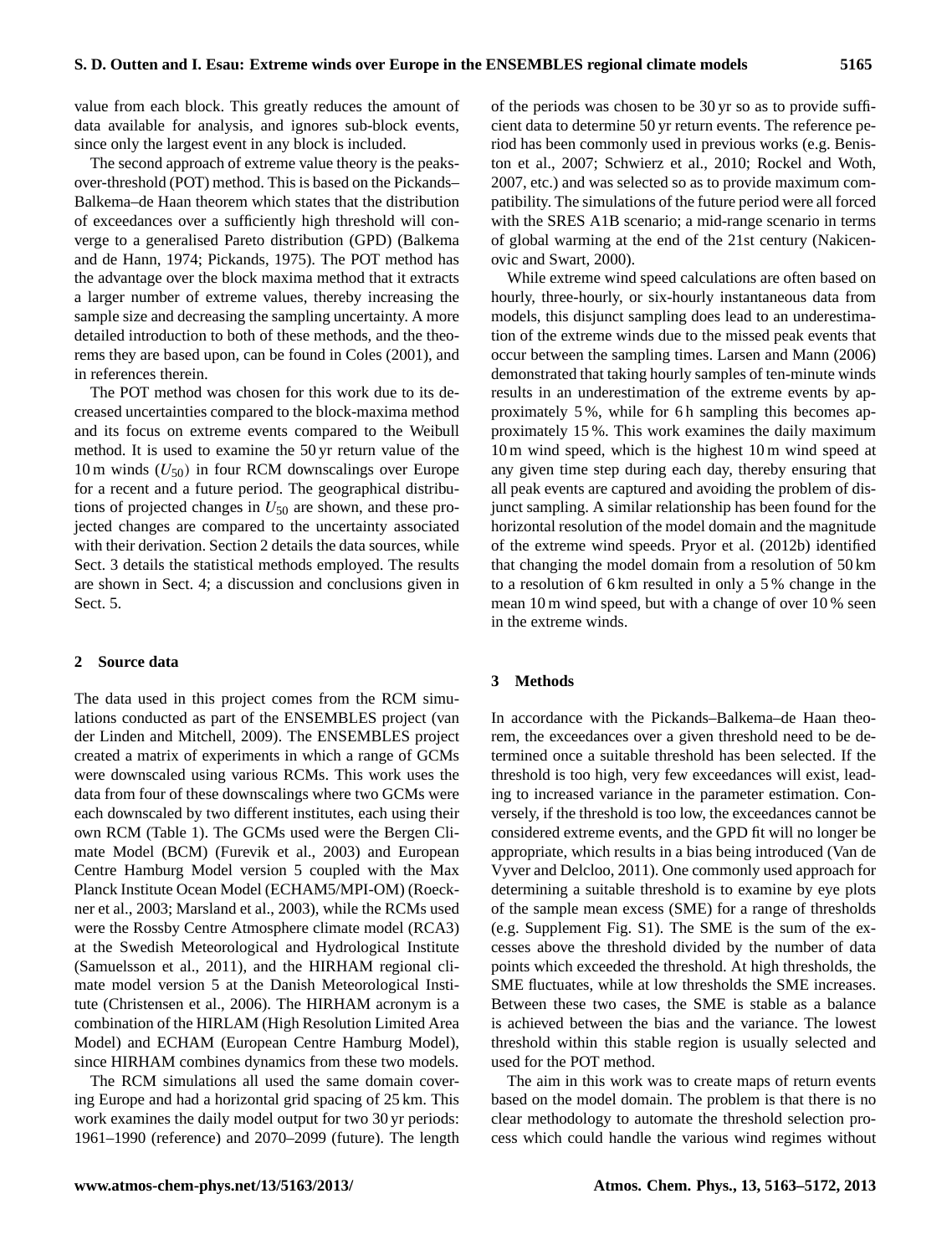value from each block. This greatly reduces the amount of data available for analysis, and ignores sub-block events, since only the largest event in any block is included.

The second approach of extreme value theory is the peaksover-threshold (POT) method. This is based on the Pickands– Balkema–de Haan theorem which states that the distribution of exceedances over a sufficiently high threshold will converge to a generalised Pareto distribution (GPD) (Balkema and de Hann, 1974; Pickands, 1975). The POT method has the advantage over the block maxima method that it extracts a larger number of extreme values, thereby increasing the sample size and decreasing the sampling uncertainty. A more detailed introduction to both of these methods, and the theorems they are based upon, can be found in Coles (2001), and in references therein.

The POT method was chosen for this work due to its decreased uncertainties compared to the block-maxima method and its focus on extreme events compared to the Weibull method. It is used to examine the 50 yr return value of the 10 m winds  $(U_{50})$  in four RCM downscalings over Europe for a recent and a future period. The geographical distributions of projected changes in  $U_{50}$  are shown, and these projected changes are compared to the uncertainty associated with their derivation. Section 2 details the data sources, while Sect. 3 details the statistical methods employed. The results are shown in Sect. 4; a discussion and conclusions given in Sect. 5.

## **2 Source data**

The data used in this project comes from the RCM simulations conducted as part of the ENSEMBLES project (van der Linden and Mitchell, 2009). The ENSEMBLES project created a matrix of experiments in which a range of GCMs were downscaled using various RCMs. This work uses the data from four of these downscalings where two GCMs were each downscaled by two different institutes, each using their own RCM (Table 1). The GCMs used were the Bergen Climate Model (BCM) (Furevik et al., 2003) and European Centre Hamburg Model version 5 coupled with the Max Planck Institute Ocean Model (ECHAM5/MPI-OM) (Roeckner et al., 2003; Marsland et al., 2003), while the RCMs used were the Rossby Centre Atmosphere climate model (RCA3) at the Swedish Meteorological and Hydrological Institute (Samuelsson et al., 2011), and the HIRHAM regional climate model version 5 at the Danish Meteorological Institute (Christensen et al., 2006). The HIRHAM acronym is a combination of the HIRLAM (High Resolution Limited Area Model) and ECHAM (European Centre Hamburg Model), since HIRHAM combines dynamics from these two models.

The RCM simulations all used the same domain covering Europe and had a horizontal grid spacing of 25 km. This work examines the daily model output for two 30 yr periods: 1961–1990 (reference) and 2070–2099 (future). The length of the periods was chosen to be 30 yr so as to provide sufficient data to determine 50 yr return events. The reference period has been commonly used in previous works (e.g. Beniston et al., 2007; Schwierz et al., 2010; Rockel and Woth, 2007, etc.) and was selected so as to provide maximum compatibility. The simulations of the future period were all forced with the SRES A1B scenario; a mid-range scenario in terms of global warming at the end of the 21st century (Nakicenovic and Swart, 2000).

While extreme wind speed calculations are often based on hourly, three-hourly, or six-hourly instantaneous data from models, this disjunct sampling does lead to an underestimation of the extreme winds due to the missed peak events that occur between the sampling times. Larsen and Mann (2006) demonstrated that taking hourly samples of ten-minute winds results in an underestimation of the extreme events by approximately 5 %, while for 6 h sampling this becomes approximately 15 %. This work examines the daily maximum 10 m wind speed, which is the highest 10 m wind speed at any given time step during each day, thereby ensuring that all peak events are captured and avoiding the problem of disjunct sampling. A similar relationship has been found for the horizontal resolution of the model domain and the magnitude of the extreme wind speeds. Pryor et al. (2012b) identified that changing the model domain from a resolution of 50 km to a resolution of 6 km resulted in only a 5 % change in the mean 10 m wind speed, but with a change of over 10 % seen in the extreme winds.

#### **3 Methods**

In accordance with the Pickands–Balkema–de Haan theorem, the exceedances over a given threshold need to be determined once a suitable threshold has been selected. If the threshold is too high, very few exceedances will exist, leading to increased variance in the parameter estimation. Conversely, if the threshold is too low, the exceedances cannot be considered extreme events, and the GPD fit will no longer be appropriate, which results in a bias being introduced (Van de Vyver and Delcloo, 2011). One commonly used approach for determining a suitable threshold is to examine by eye plots of the sample mean excess (SME) for a range of thresholds (e.g. Supplement Fig. S1). The SME is the sum of the excesses above the threshold divided by the number of data points which exceeded the threshold. At high thresholds, the SME fluctuates, while at low thresholds the SME increases. Between these two cases, the SME is stable as a balance is achieved between the bias and the variance. The lowest threshold within this stable region is usually selected and used for the POT method.

The aim in this work was to create maps of return events based on the model domain. The problem is that there is no clear methodology to automate the threshold selection process which could handle the various wind regimes without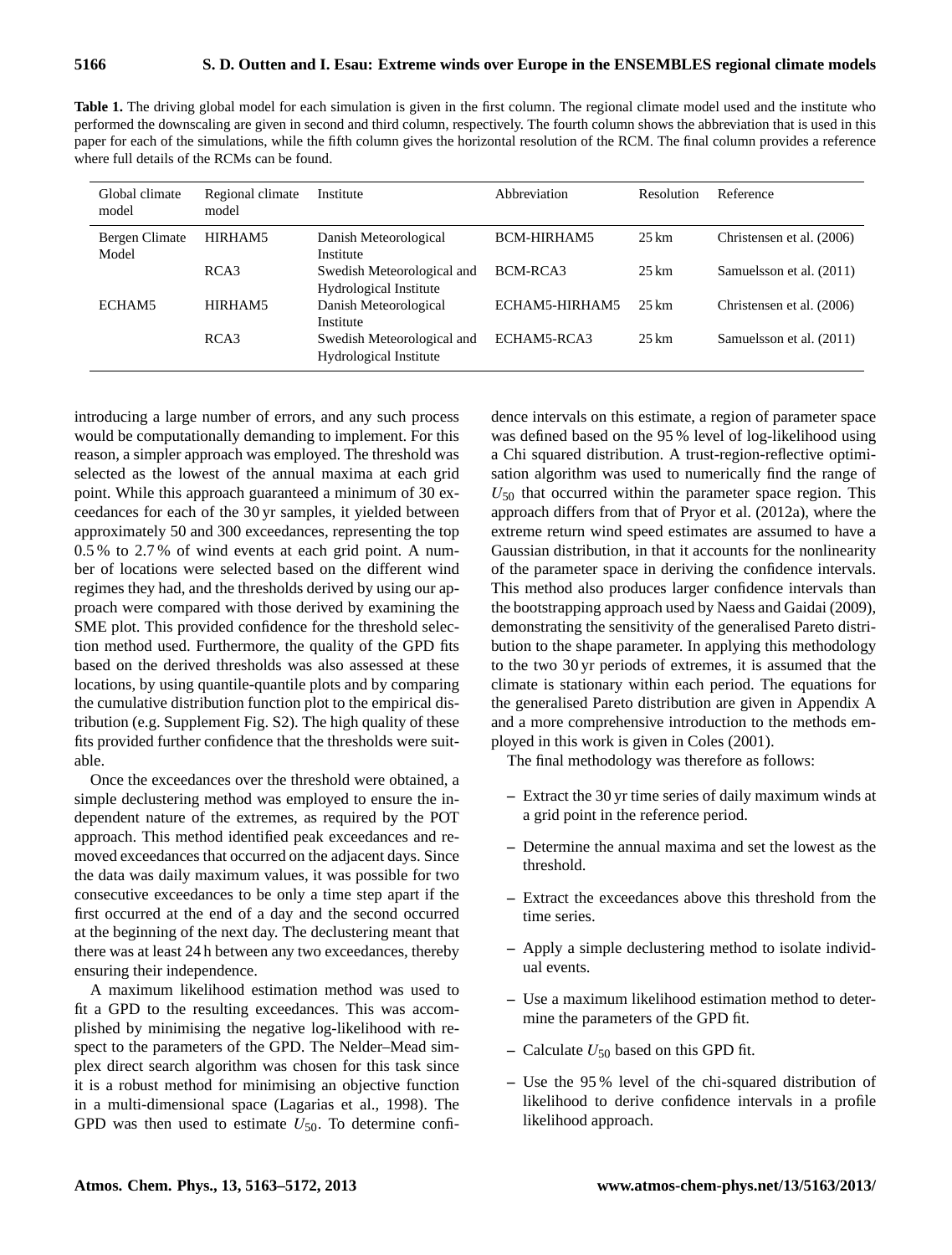Table 1. The driving global model for each simulation is given in the first column. The regional climate model used and the institute who performed the downscaling are given in second and third column, respectively. The fourth column shows the abbreviation that is used in this paper for each of the simulations, while the fifth column gives the horizontal resolution of the RCM. The final column provides a reference where full details of the RCMs can be found.

| Global climate<br>model | Regional climate<br>model | Institute                                            | Abbreviation   | Resolution         | Reference                 |
|-------------------------|---------------------------|------------------------------------------------------|----------------|--------------------|---------------------------|
| Bergen Climate<br>Model | HIRHAM5                   | Danish Meteorological<br>Institute                   | BCM-HIRHAM5    | $25 \,\mathrm{km}$ | Christensen et al. (2006) |
|                         | RCA3                      | Swedish Meteorological and<br>Hydrological Institute | BCM-RCA3       | $25 \,\mathrm{km}$ | Samuelsson et al. (2011)  |
| ECHAM5                  | HIRHAM5                   | Danish Meteorological<br>Institute                   | ECHAM5-HIRHAM5 | 25 km              | Christensen et al. (2006) |
|                         | RCA3                      | Swedish Meteorological and<br>Hydrological Institute | ECHAM5-RCA3    | $25 \text{ km}$    | Samuelsson et al. (2011)  |

introducing a large number of errors, and any such process would be computationally demanding to implement. For this reason, a simpler approach was employed. The threshold was selected as the lowest of the annual maxima at each grid point. While this approach guaranteed a minimum of 30 exceedances for each of the 30 yr samples, it yielded between approximately 50 and 300 exceedances, representing the top 0.5 % to 2.7 % of wind events at each grid point. A number of locations were selected based on the different wind regimes they had, and the thresholds derived by using our approach were compared with those derived by examining the SME plot. This provided confidence for the threshold selection method used. Furthermore, the quality of the GPD fits based on the derived thresholds was also assessed at these locations, by using quantile-quantile plots and by comparing the cumulative distribution function plot to the empirical distribution (e.g. Supplement Fig. S2). The high quality of these fits provided further confidence that the thresholds were suitable.

Once the exceedances over the threshold were obtained, a simple declustering method was employed to ensure the independent nature of the extremes, as required by the POT approach. This method identified peak exceedances and removed exceedances that occurred on the adjacent days. Since the data was daily maximum values, it was possible for two consecutive exceedances to be only a time step apart if the first occurred at the end of a day and the second occurred at the beginning of the next day. The declustering meant that there was at least 24 h between any two exceedances, thereby ensuring their independence.

A maximum likelihood estimation method was used to fit a GPD to the resulting exceedances. This was accomplished by minimising the negative log-likelihood with respect to the parameters of the GPD. The Nelder–Mead simplex direct search algorithm was chosen for this task since it is a robust method for minimising an objective function in a multi-dimensional space (Lagarias et al., 1998). The GPD was then used to estimate  $U_{50}$ . To determine confi-

dence intervals on this estimate, a region of parameter space was defined based on the 95 % level of log-likelihood using a Chi squared distribution. A trust-region-reflective optimisation algorithm was used to numerically find the range of  $U_{50}$  that occurred within the parameter space region. This approach differs from that of Pryor et al. (2012a), where the extreme return wind speed estimates are assumed to have a Gaussian distribution, in that it accounts for the nonlinearity of the parameter space in deriving the confidence intervals. This method also produces larger confidence intervals than the bootstrapping approach used by Naess and Gaidai (2009), demonstrating the sensitivity of the generalised Pareto distribution to the shape parameter. In applying this methodology to the two 30 yr periods of extremes, it is assumed that the climate is stationary within each period. The equations for the generalised Pareto distribution are given in Appendix A and a more comprehensive introduction to the methods employed in this work is given in Coles (2001).

The final methodology was therefore as follows:

- **–** Extract the 30 yr time series of daily maximum winds at a grid point in the reference period.
- **–** Determine the annual maxima and set the lowest as the threshold.
- **–** Extract the exceedances above this threshold from the time series.
- **–** Apply a simple declustering method to isolate individual events.
- **–** Use a maximum likelihood estimation method to determine the parameters of the GPD fit.
- $-$  Calculate  $U_{50}$  based on this GPD fit.
- **–** Use the 95 % level of the chi-squared distribution of likelihood to derive confidence intervals in a profile likelihood approach.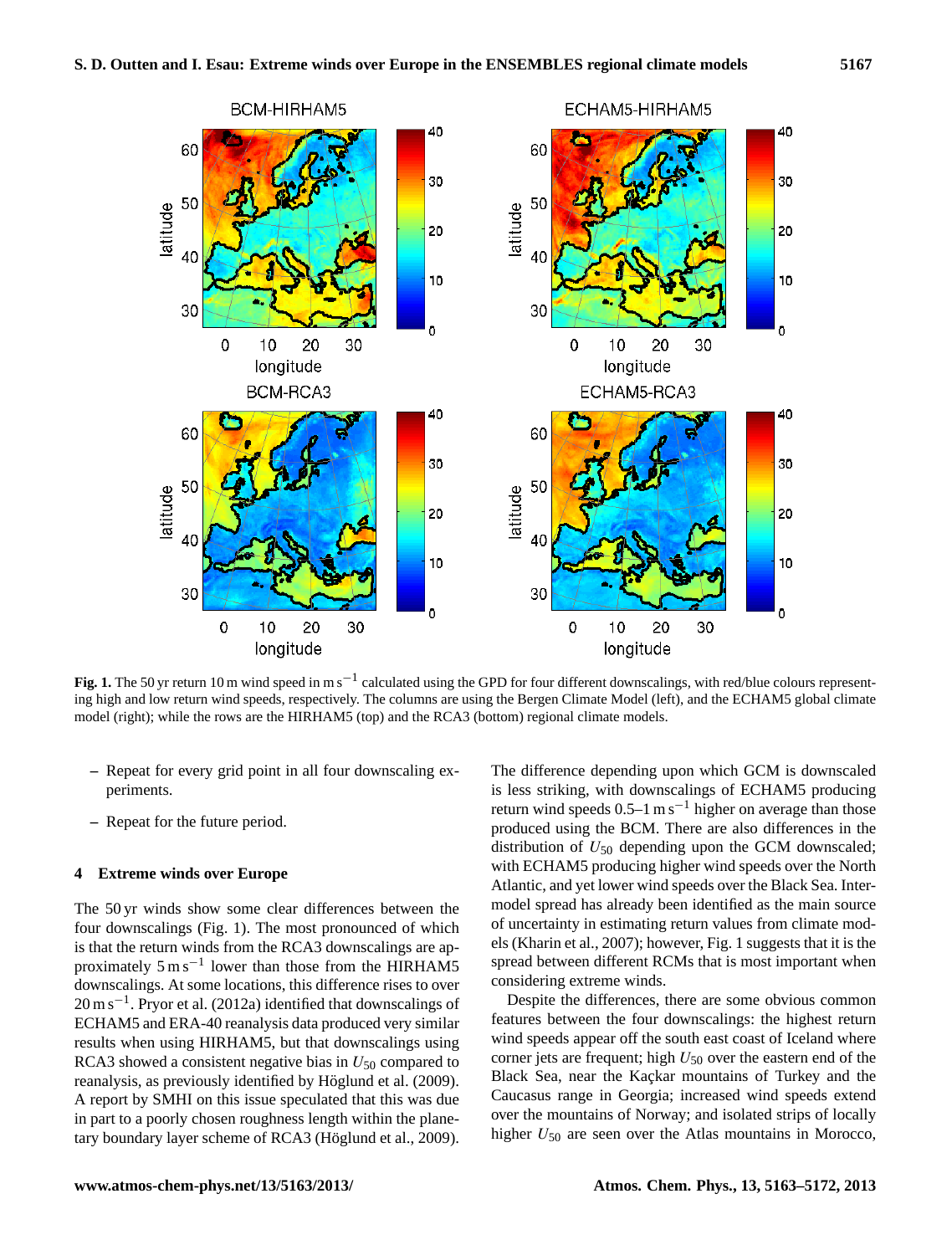

Fig. 1. The 50 yr return 10 m wind speed in m s<sup>-1</sup> calculated using the GPD for four different downscalings, with red/blue colours representing high and low return wind speeds, respectively. The columns are using the Bergen Climate Model (left), and the ECHAM5 global climate model (right); while the rows are the HIRHAM5 (top) and the RCA3 (bottom) regional climate models.

- **–** Repeat for every grid point in all four downscaling experiments.
- **–** Repeat for the future period.

#### **4 Extreme winds over Europe**

The 50 yr winds show some clear differences between the four downscalings (Fig. 1). The most pronounced of which is that the return winds from the RCA3 downscalings are approximately  $5 \text{ m s}^{-1}$  lower than those from the HIRHAM5 downscalings. At some locations, this difference rises to over 20 m s<sup>-1</sup>. Pryor et al. (2012a) identified that downscalings of ECHAM5 and ERA-40 reanalysis data produced very similar results when using HIRHAM5, but that downscalings using RCA3 showed a consistent negative bias in  $U_{50}$  compared to reanalysis, as previously identified by Höglund et al. (2009). A report by SMHI on this issue speculated that this was due in part to a poorly chosen roughness length within the planetary boundary layer scheme of RCA3 (Höglund et al., 2009). The difference depending upon which GCM is downscaled is less striking, with downscalings of ECHAM5 producing return wind speeds  $0.5-1$  m s<sup>-1</sup> higher on average than those produced using the BCM. There are also differences in the distribution of  $U_{50}$  depending upon the GCM downscaled; with ECHAM5 producing higher wind speeds over the North Atlantic, and yet lower wind speeds over the Black Sea. Intermodel spread has already been identified as the main source of uncertainty in estimating return values from climate models (Kharin et al., 2007); however, Fig. 1 suggests that it is the spread between different RCMs that is most important when considering extreme winds.

Despite the differences, there are some obvious common features between the four downscalings: the highest return wind speeds appear off the south east coast of Iceland where corner jets are frequent; high  $U_{50}$  over the eastern end of the Black Sea, near the Kaçkar mountains of Turkey and the Caucasus range in Georgia; increased wind speeds extend over the mountains of Norway; and isolated strips of locally higher  $U_{50}$  are seen over the Atlas mountains in Morocco,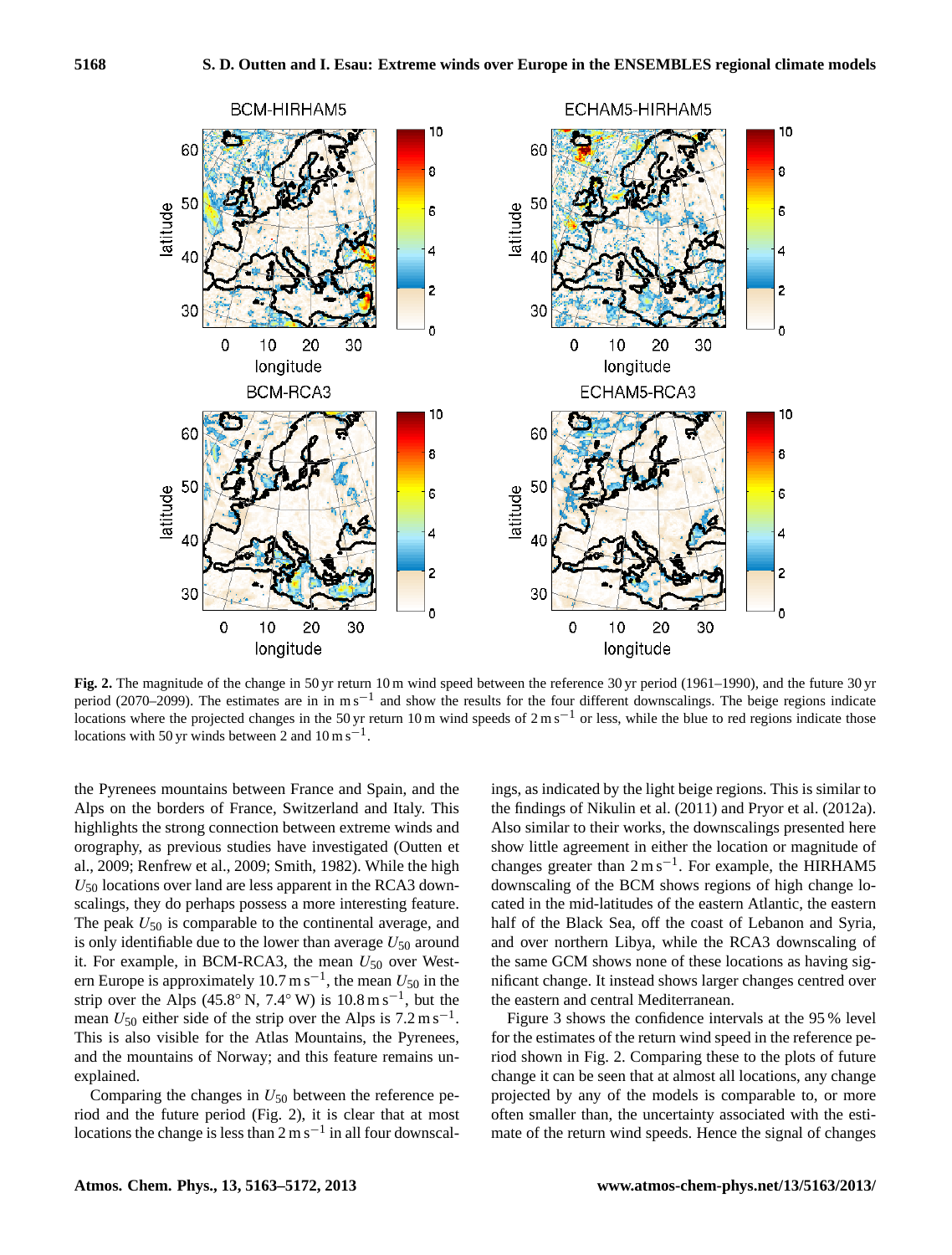

**Fig. 2.** The magnitude of the change in 50 yr return 10 m wind speed between the reference 30 yr period (1961–1990), and the future 30 yr period (2070–2099). The estimates are in in m s<sup>-1</sup> and show the results for the four different downscalings. The beige regions indicate locations where the projected changes in the 50 yr return 10 m wind speeds of  $2 \text{ m s}^{-1}$  or less, while the blue to red regions indicate those locations with 50 yr winds between 2 and  $10 \text{ m s}^{-1}$ .

the Pyrenees mountains between France and Spain, and the Alps on the borders of France, Switzerland and Italy. This highlights the strong connection between extreme winds and orography, as previous studies have investigated (Outten et al., 2009; Renfrew et al., 2009; Smith, 1982). While the high  $U_{50}$  locations over land are less apparent in the RCA3 downscalings, they do perhaps possess a more interesting feature. The peak  $U_{50}$  is comparable to the continental average, and is only identifiable due to the lower than average  $U_{50}$  around it. For example, in BCM-RCA3, the mean  $U_{50}$  over Western Europe is approximately 10.7 m s<sup>-1</sup>, the mean  $U_{50}$  in the strip over the Alps (45.8° N, 7.4° W) is  $10.8 \text{ m s}^{-1}$ , but the mean  $U_{50}$  either side of the strip over the Alps is 7.2 m s<sup>-1</sup>. This is also visible for the Atlas Mountains, the Pyrenees, and the mountains of Norway; and this feature remains unexplained.

Comparing the changes in  $U_{50}$  between the reference period and the future period (Fig. 2), it is clear that at most locations the change is less than  $2 \text{ m s}^{-1}$  in all four downscal-

ings, as indicated by the light beige regions. This is similar to the findings of Nikulin et al. (2011) and Pryor et al. (2012a). Also similar to their works, the downscalings presented here show little agreement in either the location or magnitude of changes greater than 2 m s−<sup>1</sup> . For example, the HIRHAM5 downscaling of the BCM shows regions of high change located in the mid-latitudes of the eastern Atlantic, the eastern half of the Black Sea, off the coast of Lebanon and Syria, and over northern Libya, while the RCA3 downscaling of the same GCM shows none of these locations as having significant change. It instead shows larger changes centred over the eastern and central Mediterranean.

Figure 3 shows the confidence intervals at the 95 % level for the estimates of the return wind speed in the reference period shown in Fig. 2. Comparing these to the plots of future change it can be seen that at almost all locations, any change projected by any of the models is comparable to, or more often smaller than, the uncertainty associated with the estimate of the return wind speeds. Hence the signal of changes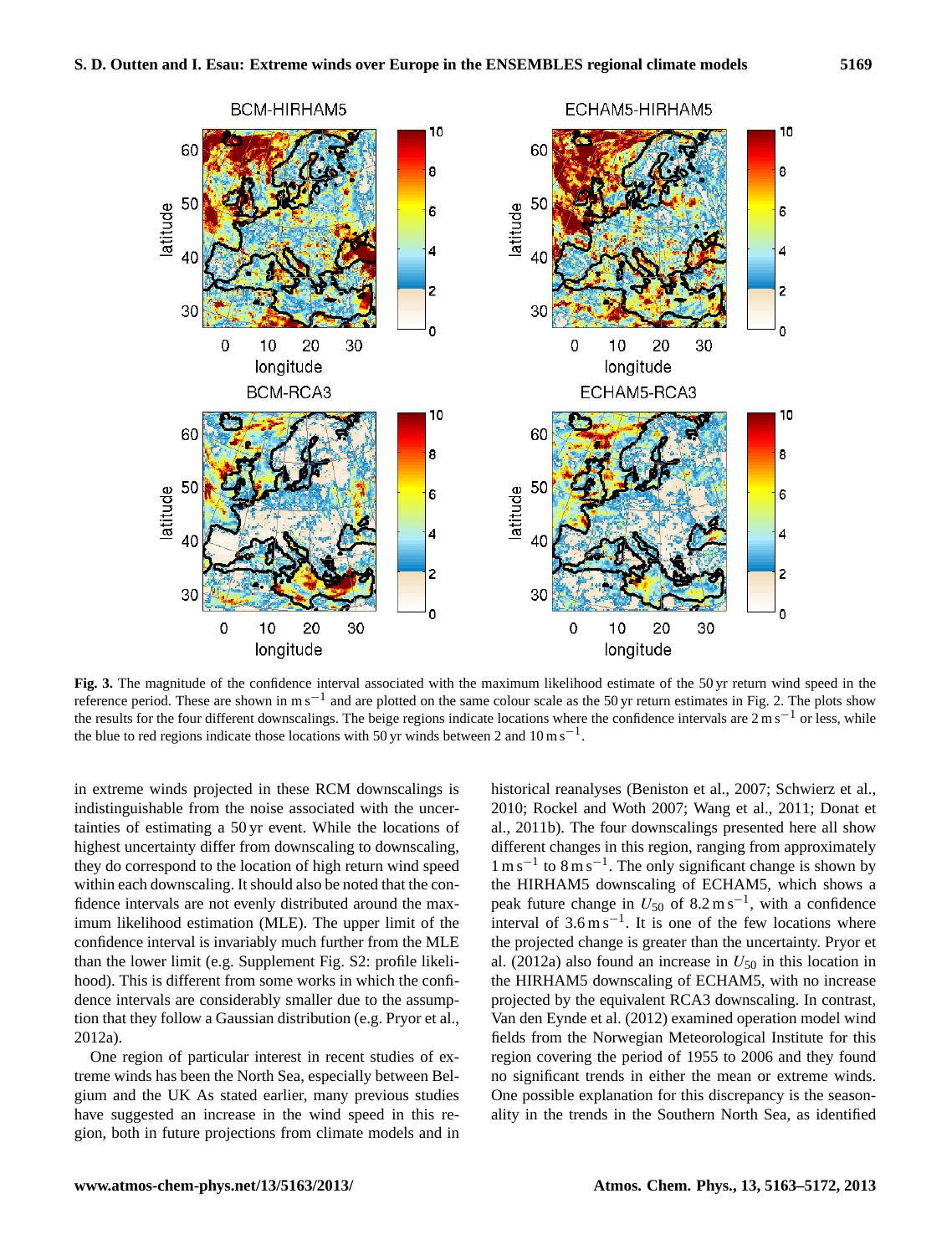

**Fig. 3.** The magnitude of the confidence interval associated with the maximum likelihood estimate of the 50 yr return wind speed in the reference period. These are shown in m s<sup>-1</sup> and are plotted on the same colour scale as the 50 yr return estimates in Fig. 2. The plots show the results for the four different downscalings. The beige regions indicate locations where the confidence intervals are 2 m s−<sup>1</sup> or less, while the blue to red regions indicate those locations with 50 yr winds between 2 and  $10 \text{ m s}^{-1}$ .

in extreme winds projected in these RCM downscalings is indistinguishable from the noise associated with the uncertainties of estimating a 50 yr event. While the locations of highest uncertainty differ from downscaling to downscaling, they do correspond to the location of high return wind speed within each downscaling. It should also be noted that the confidence intervals are not evenly distributed around the maximum likelihood estimation (MLE). The upper limit of the confidence interval is invariably much further from the MLE than the lower limit (e.g. Supplement Fig. S2: profile likelihood). This is different from some works in which the confidence intervals are considerably smaller due to the assumption that they follow a Gaussian distribution (e.g. Pryor et al., 2012a).

One region of particular interest in recent studies of extreme winds has been the North Sea, especially between Belgium and the UK As stated earlier, many previous studies have suggested an increase in the wind speed in this region, both in future projections from climate models and in historical reanalyses (Beniston et al., 2007; Schwierz et al., 2010; Rockel and Woth 2007; Wang et al., 2011; Donat et al., 2011b). The four downscalings presented here all show different changes in this region, ranging from approximately 1 m s−<sup>1</sup> to 8 m s−<sup>1</sup> . The only significant change is shown by the HIRHAM5 downscaling of ECHAM5, which shows a peak future change in  $U_{50}$  of 8.2 m s<sup>-1</sup>, with a confidence interval of  $3.6 \text{ m s}^{-1}$ . It is one of the few locations where the projected change is greater than the uncertainty. Pryor et al. (2012a) also found an increase in  $U_{50}$  in this location in the HIRHAM5 downscaling of ECHAM5, with no increase projected by the equivalent RCA3 downscaling. In contrast, Van den Eynde et al. (2012) examined operation model wind fields from the Norwegian Meteorological Institute for this region covering the period of 1955 to 2006 and they found no significant trends in either the mean or extreme winds. One possible explanation for this discrepancy is the seasonality in the trends in the Southern North Sea, as identified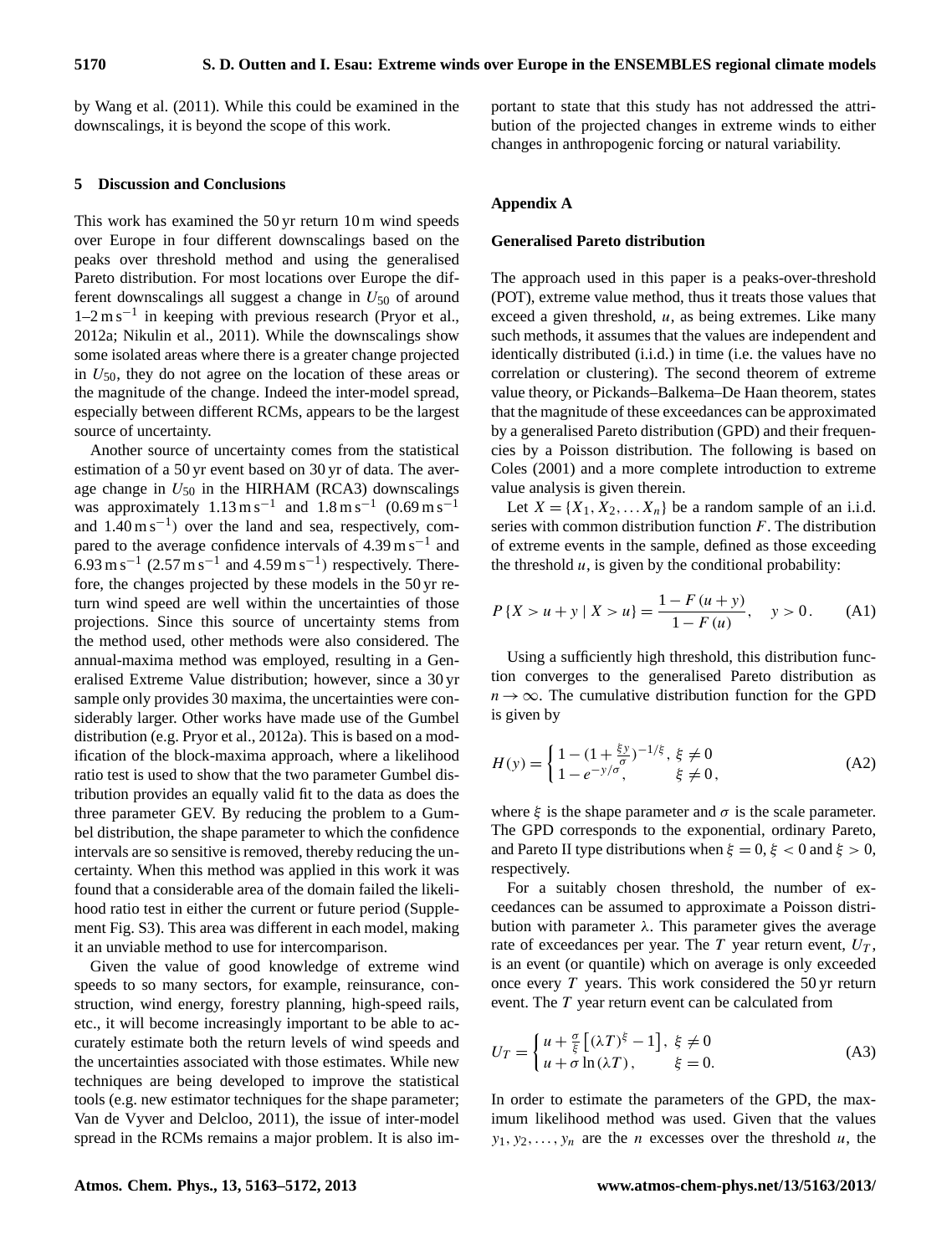by Wang et al. (2011). While this could be examined in the downscalings, it is beyond the scope of this work.

#### **5 Discussion and Conclusions**

This work has examined the 50 yr return 10 m wind speeds over Europe in four different downscalings based on the peaks over threshold method and using the generalised Pareto distribution. For most locations over Europe the different downscalings all suggest a change in  $U_{50}$  of around 1–2 m s−<sup>1</sup> in keeping with previous research (Pryor et al., 2012a; Nikulin et al., 2011). While the downscalings show some isolated areas where there is a greater change projected in  $U_{50}$ , they do not agree on the location of these areas or the magnitude of the change. Indeed the inter-model spread, especially between different RCMs, appears to be the largest source of uncertainty.

Another source of uncertainty comes from the statistical estimation of a 50 yr event based on 30 yr of data. The average change in  $U_{50}$  in the HIRHAM (RCA3) downscalings was approximately  $1.13 \text{ m s}^{-1}$  and  $1.8 \text{ m s}^{-1}$   $(0.69 \text{ m s}^{-1}$ and  $1.40 \text{ m s}^{-1}$ ) over the land and sea, respectively, compared to the average confidence intervals of  $4.39 \text{ m s}^{-1}$  and 6.93 m s<sup>-1</sup> (2.57 m s<sup>-1</sup> and 4.59 m s<sup>-1</sup>) respectively. Therefore, the changes projected by these models in the 50 yr return wind speed are well within the uncertainties of those projections. Since this source of uncertainty stems from the method used, other methods were also considered. The annual-maxima method was employed, resulting in a Generalised Extreme Value distribution; however, since a 30 yr sample only provides 30 maxima, the uncertainties were considerably larger. Other works have made use of the Gumbel distribution (e.g. Pryor et al., 2012a). This is based on a modification of the block-maxima approach, where a likelihood ratio test is used to show that the two parameter Gumbel distribution provides an equally valid fit to the data as does the three parameter GEV. By reducing the problem to a Gumbel distribution, the shape parameter to which the confidence intervals are so sensitive is removed, thereby reducing the uncertainty. When this method was applied in this work it was found that a considerable area of the domain failed the likelihood ratio test in either the current or future period (Supplement Fig. S3). This area was different in each model, making it an unviable method to use for intercomparison.

Given the value of good knowledge of extreme wind speeds to so many sectors, for example, reinsurance, construction, wind energy, forestry planning, high-speed rails, etc., it will become increasingly important to be able to accurately estimate both the return levels of wind speeds and the uncertainties associated with those estimates. While new techniques are being developed to improve the statistical tools (e.g. new estimator techniques for the shape parameter; Van de Vyver and Delcloo, 2011), the issue of inter-model spread in the RCMs remains a major problem. It is also important to state that this study has not addressed the attribution of the projected changes in extreme winds to either changes in anthropogenic forcing or natural variability.

#### **Appendix A**

#### **Generalised Pareto distribution**

The approach used in this paper is a peaks-over-threshold (POT), extreme value method, thus it treats those values that exceed a given threshold,  $u$ , as being extremes. Like many such methods, it assumes that the values are independent and identically distributed (i.i.d.) in time (i.e. the values have no correlation or clustering). The second theorem of extreme value theory, or Pickands–Balkema–De Haan theorem, states that the magnitude of these exceedances can be approximated by a generalised Pareto distribution (GPD) and their frequencies by a Poisson distribution. The following is based on Coles (2001) and a more complete introduction to extreme value analysis is given therein.

Let  $X = \{X_1, X_2, \dots, X_n\}$  be a random sample of an i.i.d. series with common distribution function  $F$ . The distribution of extreme events in the sample, defined as those exceeding the threshold  $u$ , is given by the conditional probability:

$$
P\{X > u + y \mid X > u\} = \frac{1 - F(u + y)}{1 - F(u)}, \quad y > 0.
$$
 (A1)

Using a sufficiently high threshold, this distribution function converges to the generalised Pareto distribution as  $n \rightarrow \infty$ . The cumulative distribution function for the GPD is given by

$$
H(y) = \begin{cases} 1 - (1 + \frac{\xi y}{\sigma})^{-1/\xi}, & \xi \neq 0\\ 1 - e^{-y/\sigma}, & \xi \neq 0, \end{cases}
$$
 (A2)

where  $\xi$  is the shape parameter and  $\sigma$  is the scale parameter. The GPD corresponds to the exponential, ordinary Pareto, and Pareto II type distributions when  $\xi = 0$ ,  $\xi < 0$  and  $\xi > 0$ , respectively.

For a suitably chosen threshold, the number of exceedances can be assumed to approximate a Poisson distribution with parameter  $\lambda$ . This parameter gives the average rate of exceedances per year. The  $T$  year return event,  $U_T$ , is an event (or quantile) which on average is only exceeded once every  $T$  years. This work considered the 50 yr return event. The T year return event can be calculated from

$$
U_T = \begin{cases} u + \frac{\sigma}{\xi} \left[ (\lambda T)^{\xi} - 1 \right], \ \xi \neq 0 \\ u + \sigma \ln(\lambda T), \qquad \xi = 0. \end{cases}
$$
 (A3)

In order to estimate the parameters of the GPD, the maximum likelihood method was used. Given that the values  $y_1, y_2, \ldots, y_n$  are the *n* excesses over the threshold *u*, the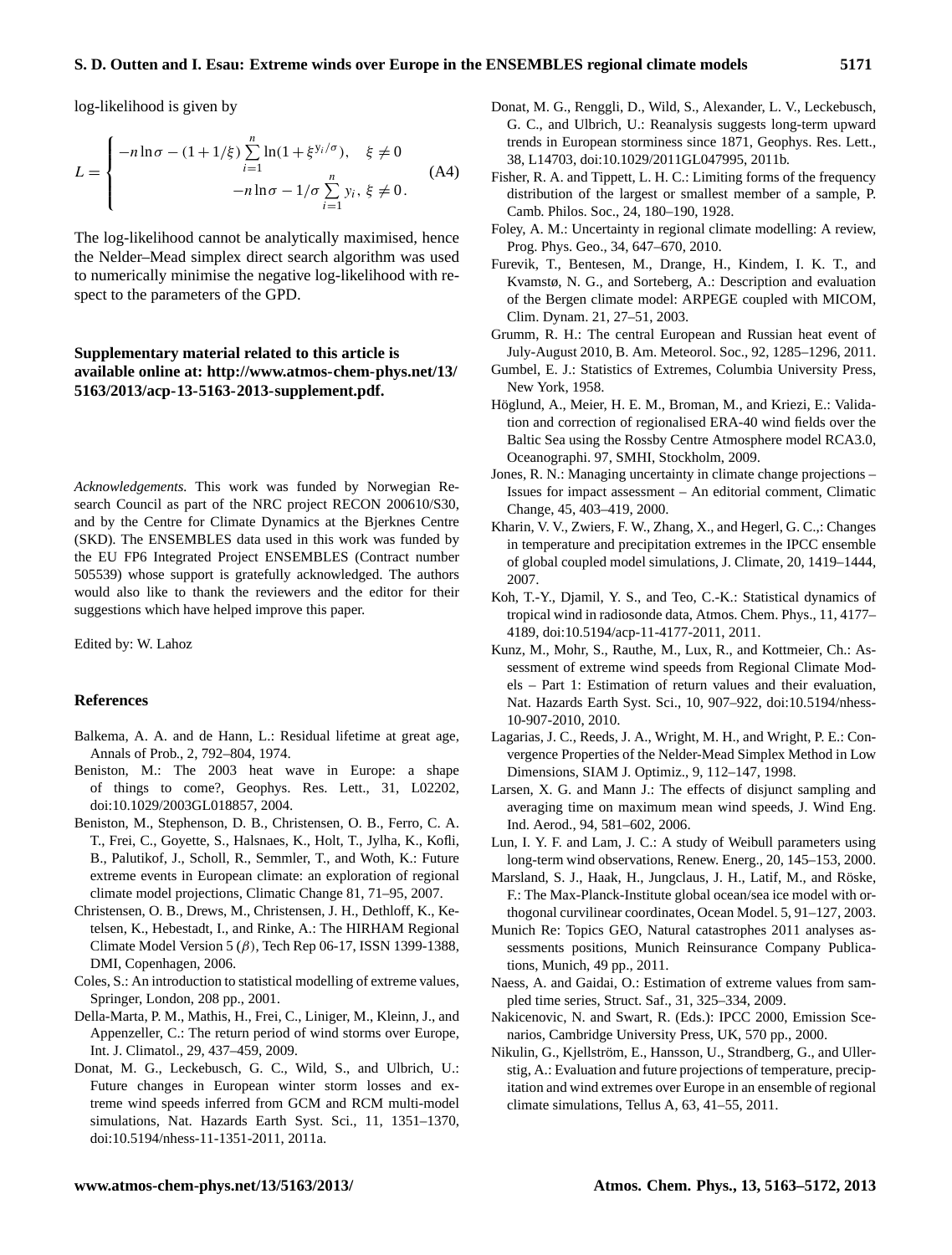#### **S. D. Outten and I. Esau: Extreme winds over Europe in the ENSEMBLES regional climate models 5171**

log-likelihood is given by

$$
L = \begin{cases} -n \ln \sigma - (1 + 1/\xi) \sum_{i=1}^{n} \ln(1 + \xi^{y_i/\sigma}), & \xi \neq 0 \\ -n \ln \sigma - 1/\sigma \sum_{i=1}^{n} y_i, \xi \neq 0. \end{cases}
$$
(A4)

The log-likelihood cannot be analytically maximised, hence the Nelder–Mead simplex direct search algorithm was used to numerically minimise the negative log-likelihood with respect to the parameters of the GPD.

# **Supplementary material related to this article is available online at: [http://www.atmos-chem-phys.net/13/](http://www.atmos-chem-phys.net/13/5163/2013/acp-13-5163-2013-supplement.pdf) [5163/2013/acp-13-5163-2013-supplement.pdf.](http://www.atmos-chem-phys.net/13/5163/2013/acp-13-5163-2013-supplement.pdf)**

*Acknowledgements.* This work was funded by Norwegian Research Council as part of the NRC project RECON 200610/S30, and by the Centre for Climate Dynamics at the Bjerknes Centre (SKD). The ENSEMBLES data used in this work was funded by the EU FP6 Integrated Project ENSEMBLES (Contract number 505539) whose support is gratefully acknowledged. The authors would also like to thank the reviewers and the editor for their suggestions which have helped improve this paper.

Edited by: W. Lahoz

#### **References**

- Balkema, A. A. and de Hann, L.: Residual lifetime at great age, Annals of Prob., 2, 792–804, 1974.
- Beniston, M.: The 2003 heat wave in Europe: a shape of things to come?, Geophys. Res. Lett., 31, L02202, doi[:10.1029/2003GL018857,](http://dx.doi.org/10.1029/2003GL018857) 2004.
- Beniston, M., Stephenson, D. B., Christensen, O. B., Ferro, C. A. T., Frei, C., Goyette, S., Halsnaes, K., Holt, T., Jylha, K., Kofli, B., Palutikof, J., Scholl, R., Semmler, T., and Woth, K.: Future extreme events in European climate: an exploration of regional climate model projections, Climatic Change 81, 71–95, 2007.
- Christensen, O. B., Drews, M., Christensen, J. H., Dethloff, K., Ketelsen, K., Hebestadt, I., and Rinke, A.: The HIRHAM Regional Climate Model Version 5  $(\beta)$ , Tech Rep 06-17, ISSN 1399-1388, DMI, Copenhagen, 2006.
- Coles, S.: An introduction to statistical modelling of extreme values, Springer, London, 208 pp., 2001.
- Della-Marta, P. M., Mathis, H., Frei, C., Liniger, M., Kleinn, J., and Appenzeller, C.: The return period of wind storms over Europe, Int. J. Climatol., 29, 437–459, 2009.
- Donat, M. G., Leckebusch, G. C., Wild, S., and Ulbrich, U.: Future changes in European winter storm losses and extreme wind speeds inferred from GCM and RCM multi-model simulations, Nat. Hazards Earth Syst. Sci., 11, 1351–1370, doi[:10.5194/nhess-11-1351-2011,](http://dx.doi.org/10.5194/nhess-11-1351-2011) 2011a.
- Donat, M. G., Renggli, D., Wild, S., Alexander, L. V., Leckebusch, G. C., and Ulbrich, U.: Reanalysis suggests long-term upward trends in European storminess since 1871, Geophys. Res. Lett., 38, L14703, doi[:10.1029/2011GL047995,](http://dx.doi.org/10.1029/2011GL047995) 2011b.
- Fisher, R. A. and Tippett, L. H. C.: Limiting forms of the frequency distribution of the largest or smallest member of a sample, P. Camb. Philos. Soc., 24, 180–190, 1928.
- Foley, A. M.: Uncertainty in regional climate modelling: A review, Prog. Phys. Geo., 34, 647–670, 2010.
- Furevik, T., Bentesen, M., Drange, H., Kindem, I. K. T., and Kvamstø, N. G., and Sorteberg, A.: Description and evaluation of the Bergen climate model: ARPEGE coupled with MICOM, Clim. Dynam. 21, 27–51, 2003.
- Grumm, R. H.: The central European and Russian heat event of July-August 2010, B. Am. Meteorol. Soc., 92, 1285–1296, 2011.
- Gumbel, E. J.: Statistics of Extremes, Columbia University Press, New York, 1958.
- Höglund, A., Meier, H. E. M., Broman, M., and Kriezi, E.: Validation and correction of regionalised ERA-40 wind fields over the Baltic Sea using the Rossby Centre Atmosphere model RCA3.0, Oceanographi. 97, SMHI, Stockholm, 2009.
- Jones, R. N.: Managing uncertainty in climate change projections Issues for impact assessment – An editorial comment, Climatic Change, 45, 403–419, 2000.
- Kharin, V. V., Zwiers, F. W., Zhang, X., and Hegerl, G. C.,: Changes in temperature and precipitation extremes in the IPCC ensemble of global coupled model simulations, J. Climate, 20, 1419–1444, 2007.
- Koh, T.-Y., Djamil, Y. S., and Teo, C.-K.: Statistical dynamics of tropical wind in radiosonde data, Atmos. Chem. Phys., 11, 4177– 4189, doi[:10.5194/acp-11-4177-2011,](http://dx.doi.org/10.5194/acp-11-4177-2011) 2011.
- Kunz, M., Mohr, S., Rauthe, M., Lux, R., and Kottmeier, Ch.: Assessment of extreme wind speeds from Regional Climate Models – Part 1: Estimation of return values and their evaluation, Nat. Hazards Earth Syst. Sci., 10, 907–922, doi[:10.5194/nhess-](http://dx.doi.org/10.5194/nhess-10-907-2010)[10-907-2010,](http://dx.doi.org/10.5194/nhess-10-907-2010) 2010.
- Lagarias, J. C., Reeds, J. A., Wright, M. H., and Wright, P. E.: Convergence Properties of the Nelder-Mead Simplex Method in Low Dimensions, SIAM J. Optimiz., 9, 112–147, 1998.
- Larsen, X. G. and Mann J.: The effects of disjunct sampling and averaging time on maximum mean wind speeds, J. Wind Eng. Ind. Aerod., 94, 581–602, 2006.
- Lun, I. Y. F. and Lam, J. C.: A study of Weibull parameters using long-term wind observations, Renew. Energ., 20, 145–153, 2000.
- Marsland, S. J., Haak, H., Jungclaus, J. H., Latif, M., and Röske, F.: The Max-Planck-Institute global ocean/sea ice model with orthogonal curvilinear coordinates, Ocean Model. 5, 91–127, 2003.
- Munich Re: Topics GEO, Natural catastrophes 2011 analyses assessments positions, Munich Reinsurance Company Publications, Munich, 49 pp., 2011.
- Naess, A. and Gaidai, O.: Estimation of extreme values from sampled time series, Struct. Saf., 31, 325–334, 2009.
- Nakicenovic, N. and Swart, R. (Eds.): IPCC 2000, Emission Scenarios, Cambridge University Press, UK, 570 pp., 2000.
- Nikulin, G., Kjellström, E., Hansson, U., Strandberg, G., and Ullerstig, A.: Evaluation and future projections of temperature, precipitation and wind extremes over Europe in an ensemble of regional climate simulations, Tellus A, 63, 41–55, 2011.